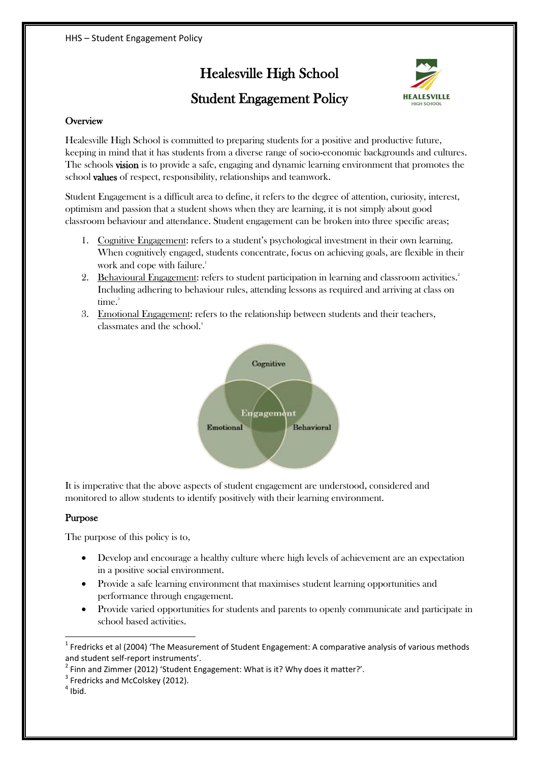# Healesville High School



## Student Engagement Policy

#### **Overview**

Healesville High School is committed to preparing students for a positive and productive future, keeping in mind that it has students from a diverse range of socio-economic backgrounds and cultures. The schools vision is to provide a safe, engaging and dynamic learning environment that promotes the school values of respect, responsibility, relationships and teamwork.

Student Engagement is a difficult area to define, it refers to the degree of attention, curiosity, interest, optimism and passion that a student shows when they are learning, it is not simply about good classroom behaviour and attendance. Student engagement can be broken into three specific areas;

- 1. Cognitive Engagement: refers to a student's psychological investment in their own learning. When cognitively engaged, students concentrate, focus on achieving goals, are flexible in their work and cope with failure.<sup>1</sup>
- 2. Behavioural Engagement: refers to student participation in learning and classroom activities.<sup>2</sup> Including adhering to behaviour rules, attending lessons as required and arriving at class on time.<sup>3</sup>
- 3. Emotional Engagement: refers to the relationship between students and their teachers, classmates and the school.<sup>4</sup>



It is imperative that the above aspects of student engagement are understood, considered and monitored to allow students to identify positively with their learning environment.

#### Purpose

The purpose of this policy is to,

- Develop and encourage a healthy culture where high levels of achievement are an expectation in a positive social environment.
- Provide a safe learning environment that maximises student learning opportunities and performance through engagement.
- Provide varied opportunities for students and parents to openly communicate and participate in school based activities.

 $\overline{a}$ 

 $<sup>1</sup>$  Fredricks et al (2004) 'The Measurement of Student Engagement: A comparative analysis of various methods</sup> and student self-report instruments'.

 $^2$  Finn and Zimmer (2012) 'Student Engagement: What is it? Why does it matter?'.

<sup>&</sup>lt;sup>3</sup> Fredricks and McColskey (2012).

 $<sup>4</sup>$  Ibid.</sup>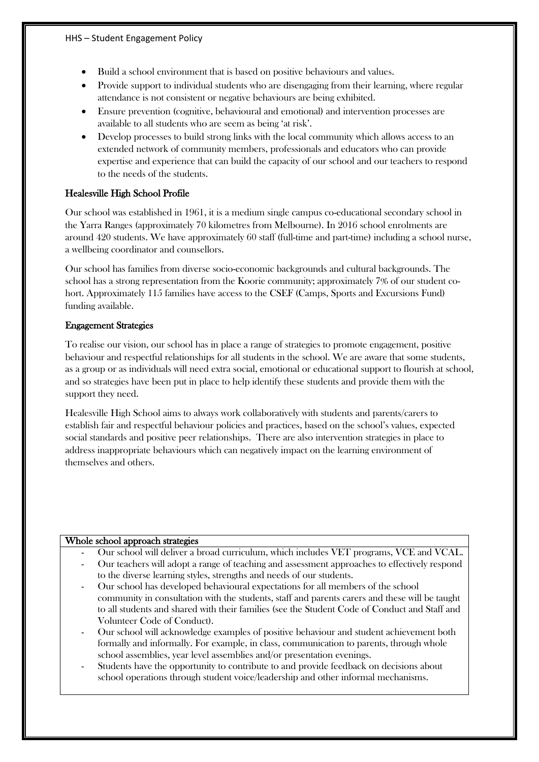- Build a school environment that is based on positive behaviours and values.
- Provide support to individual students who are disengaging from their learning, where regular attendance is not consistent or negative behaviours are being exhibited.
- Ensure prevention (cognitive, behavioural and emotional) and intervention processes are available to all students who are seem as being 'at risk'.
- Develop processes to build strong links with the local community which allows access to an extended network of community members, professionals and educators who can provide expertise and experience that can build the capacity of our school and our teachers to respond to the needs of the students.

#### Healesville High School Profile

Our school was established in 1961, it is a medium single campus co-educational secondary school in the Yarra Ranges (approximately 70 kilometres from Melbourne). In 2016 school enrolments are around 420 students. We have approximately 60 staff (full-time and part-time) including a school nurse, a wellbeing coordinator and counsellors.

Our school has families from diverse socio-economic backgrounds and cultural backgrounds. The school has a strong representation from the Koorie community; approximately 7% of our student cohort. Approximately 115 families have access to the CSEF (Camps, Sports and Excursions Fund) funding available.

#### Engagement Strategies

To realise our vision, our school has in place a range of strategies to promote engagement, positive behaviour and respectful relationships for all students in the school. We are aware that some students, as a group or as individuals will need extra social, emotional or educational support to flourish at school, and so strategies have been put in place to help identify these students and provide them with the support they need.

Healesville High School aims to always work collaboratively with students and parents/carers to establish fair and respectful behaviour policies and practices, based on the school's values, expected social standards and positive peer relationships. There are also intervention strategies in place to address inappropriate behaviours which can negatively impact on the learning environment of themselves and others.

#### Whole school approach strategies

- Our school will deliver a broad curriculum, which includes VET programs, VCE and VCAL.
- Our teachers will adopt a range of teaching and assessment approaches to effectively respond to the diverse learning styles, strengths and needs of our students.
- Our school has developed behavioural expectations for all members of the school community in consultation with the students, staff and parents carers and these will be taught to all students and shared with their families (see the Student Code of Conduct and Staff and Volunteer Code of Conduct).
- Our school will acknowledge examples of positive behaviour and student achievement both formally and informally. For example, in class, communication to parents, through whole school assemblies, year level assemblies and/or presentation evenings.
- Students have the opportunity to contribute to and provide feedback on decisions about school operations through student voice/leadership and other informal mechanisms.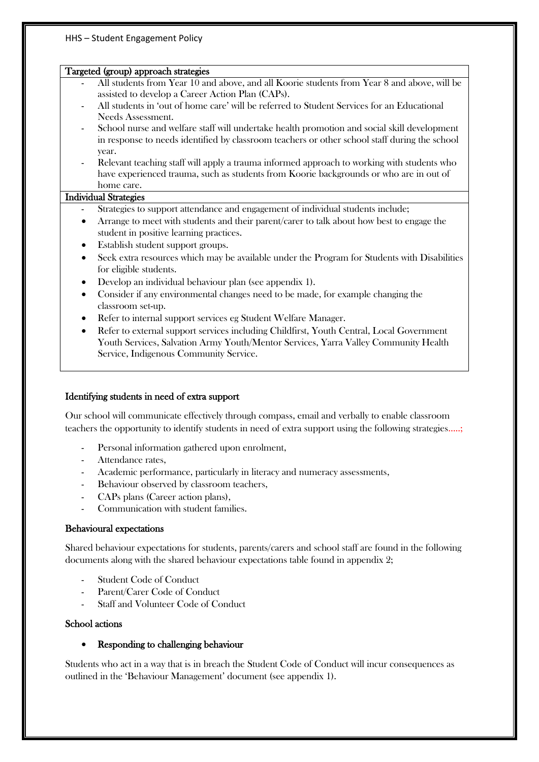#### HHS – Student Engagement Policy

#### Targeted (group) approach strategies

- All students from Year 10 and above, and all Koorie students from Year 8 and above, will be assisted to develop a Career Action Plan (CAPs).
- All students in 'out of home care' will be referred to Student Services for an Educational Needs Assessment.
- School nurse and welfare staff will undertake health promotion and social skill development in response to needs identified by classroom teachers or other school staff during the school year.
- Relevant teaching staff will apply a trauma informed approach to working with students who have experienced trauma, such as students from Koorie backgrounds or who are in out of home care.

#### Individual Strategies

- Strategies to support attendance and engagement of individual students include;
- Arrange to meet with students and their parent/carer to talk about how best to engage the student in positive learning practices.
- Establish student support groups.
- Seek extra resources which may be available under the Program for Students with Disabilities for eligible students.
- Develop an individual behaviour plan (see appendix 1).
- Consider if any environmental changes need to be made, for example changing the classroom set-up.
- Refer to internal support services eg Student Welfare Manager.
- Refer to external support services including Childfirst, Youth Central, Local Government Youth Services, Salvation Army Youth/Mentor Services, Yarra Valley Community Health Service, Indigenous Community Service.

#### Identifying students in need of extra support

Our school will communicate effectively through compass, email and verbally to enable classroom teachers the opportunity to identify students in need of extra support using the following strategies…..;

- Personal information gathered upon enrolment,
- Attendance rates.
- Academic performance, particularly in literacy and numeracy assessments,
- Behaviour observed by classroom teachers,
- CAPs plans (Career action plans),
- Communication with student families.

#### Behavioural expectations

Shared behaviour expectations for students, parents/carers and school staff are found in the following documents along with the shared behaviour expectations table found in appendix 2;

- Student Code of Conduct
- Parent/Carer Code of Conduct
- Staff and Volunteer Code of Conduct

#### School actions

#### • Responding to challenging behaviour

Students who act in a way that is in breach the Student Code of Conduct will incur consequences as outlined in the 'Behaviour Management' document (see appendix 1).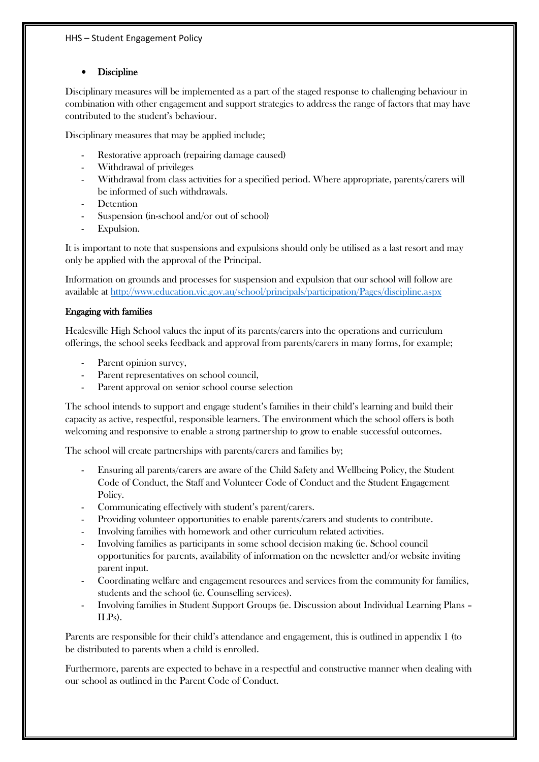#### **Discipline**

Disciplinary measures will be implemented as a part of the staged response to challenging behaviour in combination with other engagement and support strategies to address the range of factors that may have contributed to the student's behaviour.

Disciplinary measures that may be applied include;

- Restorative approach (repairing damage caused)
- Withdrawal of privileges
- Withdrawal from class activities for a specified period. Where appropriate, parents/carers will be informed of such withdrawals.
- Detention
- Suspension (in-school and/or out of school)
- Expulsion.

It is important to note that suspensions and expulsions should only be utilised as a last resort and may only be applied with the approval of the Principal.

Information on grounds and processes for suspension and expulsion that our school will follow are available at<http://www.education.vic.gov.au/school/principals/participation/Pages/discipline.aspx>

#### Engaging with families

Healesville High School values the input of its parents/carers into the operations and curriculum offerings, the school seeks feedback and approval from parents/carers in many forms, for example;

- Parent opinion survey.
- Parent representatives on school council,
- Parent approval on senior school course selection

The school intends to support and engage student's families in their child's learning and build their capacity as active, respectful, responsible learners. The environment which the school offers is both welcoming and responsive to enable a strong partnership to grow to enable successful outcomes.

The school will create partnerships with parents/carers and families by;

- Ensuring all parents/carers are aware of the Child Safety and Wellbeing Policy, the Student Code of Conduct, the Staff and Volunteer Code of Conduct and the Student Engagement Policy.
- Communicating effectively with student's parent/carers.
- Providing volunteer opportunities to enable parents/carers and students to contribute.
- Involving families with homework and other curriculum related activities.
- Involving families as participants in some school decision making (ie. School council opportunities for parents, availability of information on the newsletter and/or website inviting parent input.
- Coordinating welfare and engagement resources and services from the community for families, students and the school (ie. Counselling services).
- Involving families in Student Support Groups (ie. Discussion about Individual Learning Plans ILPs).

Parents are responsible for their child's attendance and engagement, this is outlined in appendix 1 (to be distributed to parents when a child is enrolled.

Furthermore, parents are expected to behave in a respectful and constructive manner when dealing with our school as outlined in the Parent Code of Conduct.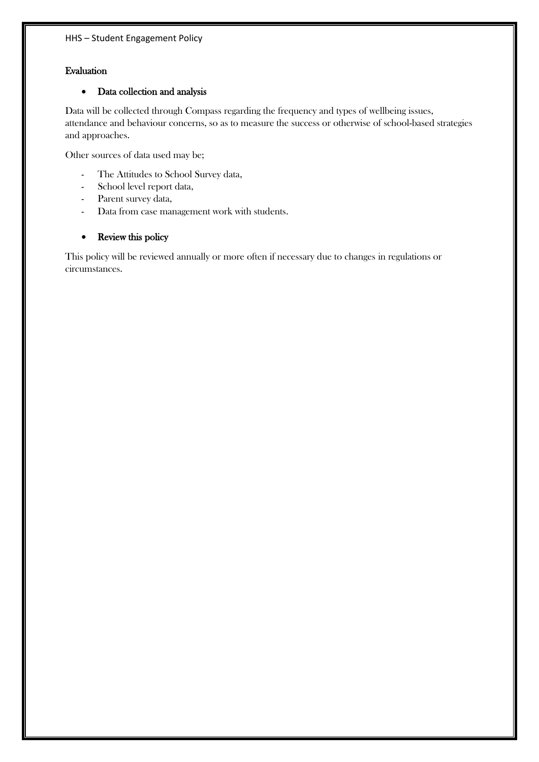#### Evaluation

#### Data collection and analysis

Data will be collected through Compass regarding the frequency and types of wellbeing issues, attendance and behaviour concerns, so as to measure the success or otherwise of school-based strategies and approaches.

Other sources of data used may be;

- The Attitudes to School Survey data,
- School level report data,
- Parent survey data,
- Data from case management work with students.

#### • Review this policy

This policy will be reviewed annually or more often if necessary due to changes in regulations or circumstances.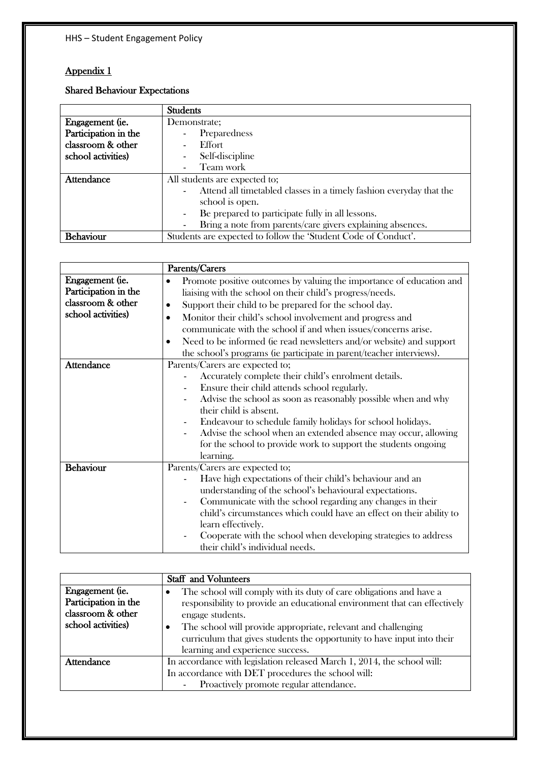### Appendix 1

### Shared Behaviour Expectations

|                      | <b>Students</b>                                                     |  |  |
|----------------------|---------------------------------------------------------------------|--|--|
| Engagement (ie.      | Demonstrate;                                                        |  |  |
| Participation in the | Preparedness                                                        |  |  |
| classroom & other    | Effort                                                              |  |  |
| school activities)   | Self-discipline                                                     |  |  |
|                      | Team work                                                           |  |  |
| <b>Attendance</b>    | All students are expected to;                                       |  |  |
|                      | Attend all timetabled classes in a timely fashion everyday that the |  |  |
|                      | school is open.                                                     |  |  |
|                      | Be prepared to participate fully in all lessons.                    |  |  |
|                      | Bring a note from parents/care givers explaining absences.          |  |  |
| <b>Behaviour</b>     | Students are expected to follow the 'Student Code of Conduct'.      |  |  |

|                      | Parents/Carers                                                                    |  |  |  |
|----------------------|-----------------------------------------------------------------------------------|--|--|--|
| Engagement (ie.      | Promote positive outcomes by valuing the importance of education and<br>$\bullet$ |  |  |  |
| Participation in the | liaising with the school on their child's progress/needs.                         |  |  |  |
| classroom & other    | Support their child to be prepared for the school day.<br>$\bullet$               |  |  |  |
| school activities)   | Monitor their child's school involvement and progress and<br>$\bullet$            |  |  |  |
|                      | communicate with the school if and when issues/concerns arise.                    |  |  |  |
|                      | Need to be informed (ie read newsletters and/or website) and support<br>$\bullet$ |  |  |  |
|                      | the school's programs (ie participate in parent/teacher interviews).              |  |  |  |
| <b>Attendance</b>    | Parents/Carers are expected to;                                                   |  |  |  |
|                      | Accurately complete their child's enrolment details.                              |  |  |  |
|                      | Ensure their child attends school regularly.                                      |  |  |  |
|                      | Advise the school as soon as reasonably possible when and why                     |  |  |  |
|                      | their child is absent.                                                            |  |  |  |
|                      | Endeavour to schedule family holidays for school holidays.                        |  |  |  |
|                      | Advise the school when an extended absence may occur, allowing                    |  |  |  |
|                      | for the school to provide work to support the students ongoing                    |  |  |  |
|                      | learning.                                                                         |  |  |  |
| <b>Behaviour</b>     | Parents/Carers are expected to;                                                   |  |  |  |
|                      | Have high expectations of their child's behaviour and an                          |  |  |  |
|                      | understanding of the school's behavioural expectations.                           |  |  |  |
|                      | Communicate with the school regarding any changes in their                        |  |  |  |
|                      | child's circumstances which could have an effect on their ability to              |  |  |  |
|                      | learn effectively.                                                                |  |  |  |
|                      | Cooperate with the school when developing strategies to address                   |  |  |  |
|                      | their child's individual needs.                                                   |  |  |  |

| <b>Staff</b> and Volunteers                                                                                                                                                                                                                                                                                                                                    |
|----------------------------------------------------------------------------------------------------------------------------------------------------------------------------------------------------------------------------------------------------------------------------------------------------------------------------------------------------------------|
| The school will comply with its duty of care obligations and have a<br>٠<br>responsibility to provide an educational environment that can effectively<br>engage students.<br>The school will provide appropriate, relevant and challenging<br>٠<br>curriculum that gives students the opportunity to have input into their<br>learning and experience success. |
| In accordance with legislation released March 1, 2014, the school will:                                                                                                                                                                                                                                                                                        |
| In accordance with DET procedures the school will:<br>Proactively promote regular attendance.                                                                                                                                                                                                                                                                  |
|                                                                                                                                                                                                                                                                                                                                                                |